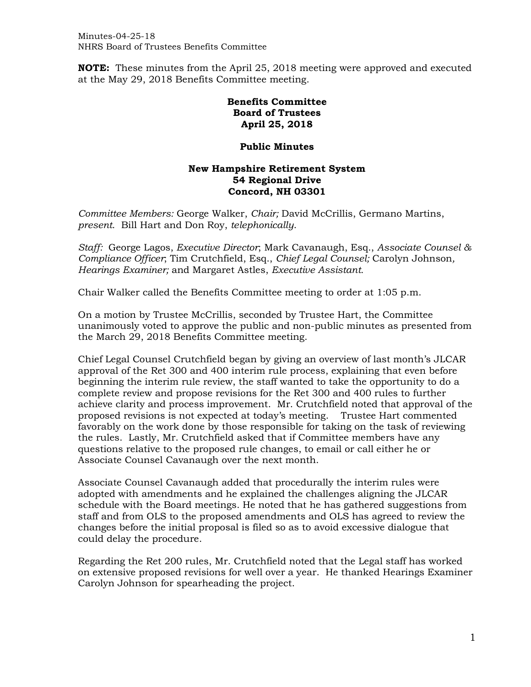**NOTE:** These minutes from the April 25, 2018 meeting were approved and executed at the May 29, 2018 Benefits Committee meeting.

## **Benefits Committee Board of Trustees April 25, 2018**

## **Public Minutes**

## **New Hampshire Retirement System 54 Regional Drive Concord, NH 03301**

*Committee Members:* George Walker, *Chair;* David McCrillis, Germano Martins, *present*. Bill Hart and Don Roy, *telephonically*.

*Staff:* George Lagos, *Executive Director*; Mark Cavanaugh, Esq., *Associate Counsel & Compliance Officer*; Tim Crutchfield, Esq., *Chief Legal Counsel;* Carolyn Johnson*, Hearings Examiner;* and Margaret Astles, *Executive Assistant.*

Chair Walker called the Benefits Committee meeting to order at 1:05 p.m.

On a motion by Trustee McCrillis, seconded by Trustee Hart, the Committee unanimously voted to approve the public and non-public minutes as presented from the March 29, 2018 Benefits Committee meeting.

Chief Legal Counsel Crutchfield began by giving an overview of last month's JLCAR approval of the Ret 300 and 400 interim rule process, explaining that even before beginning the interim rule review, the staff wanted to take the opportunity to do a complete review and propose revisions for the Ret 300 and 400 rules to further achieve clarity and process improvement. Mr. Crutchfield noted that approval of the proposed revisions is not expected at today's meeting. Trustee Hart commented favorably on the work done by those responsible for taking on the task of reviewing the rules. Lastly, Mr. Crutchfield asked that if Committee members have any questions relative to the proposed rule changes, to email or call either he or Associate Counsel Cavanaugh over the next month.

Associate Counsel Cavanaugh added that procedurally the interim rules were adopted with amendments and he explained the challenges aligning the JLCAR schedule with the Board meetings. He noted that he has gathered suggestions from staff and from OLS to the proposed amendments and OLS has agreed to review the changes before the initial proposal is filed so as to avoid excessive dialogue that could delay the procedure.

Regarding the Ret 200 rules, Mr. Crutchfield noted that the Legal staff has worked on extensive proposed revisions for well over a year. He thanked Hearings Examiner Carolyn Johnson for spearheading the project.